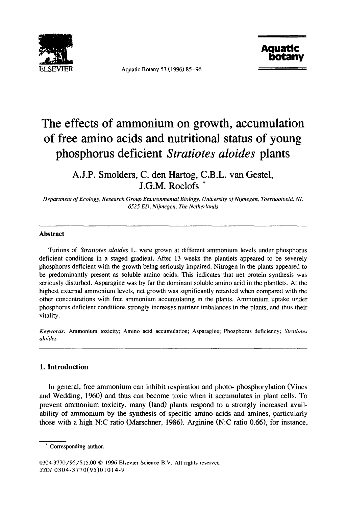

Aquatic Botany 53 (1996) 85-96



# **The effects of ammonium on growth, accumulation of free amino acids and nutritional status of young phosphorus deficient** *Stratiotes aloides* **plants**

**A.J.P. Smolders, C. den Hartog, C.B.L. van Gestel, J.G.M. Roelofs** 

*Department of Ecology, Research Group Environmental Biology, University of Nijmegen, Toernooiveld, NL 6525 ED, Nijmegen, The Netherlands* 

## **Abstract**

Turions of *Stratiotes aloides* L. were grown at different ammonium levels under phosphorus deficient conditions in a staged gradient. After 13 weeks the plantlets appeared to be severely phosphorus deficient with the growth being seriously impaired. Nitrogen in the plants appeared to be predominantly present as soluble amino acids. This indicates that net protein synthesis was seriously disturbed. Asparagine was by far the dominant soluble amino acid in the plantlets. At the highest extemal ammonium levels, net growth was significantly retarded when compared with the other concentrations with free ammonium accumulating in the plants. Ammonium uptake under phosphorus deficient conditions strongly increases nutrient imbalances in the plants, and thus their vitality.

*Keywords:* Ammonium toxicity; Amino acid accumulation; Asparagine; Phosphorus deficiency; *Stratiotes aloides* 

## **1. Introduction**

In general, free ammonium can inhibit respiration and photo- phosphorylation (Vines and Wedding, 1960) and thus can become toxic when it accumulates in plant cells. To prevent ammonium toxicity, many (land) plants respond to a strongly increased availability of ammonium by the synthesis of specific amino acids and amines, particularly those with a high N:C ratio (Marschner, 1986). Arginine (N:C ratio 0.66), for instance,

Corresponding author.

<sup>0304-3770/96/\$15.00 © 1996</sup> Elsevier Science B.V. All rights reserved *SSDI* 0304-3770(95)01014-9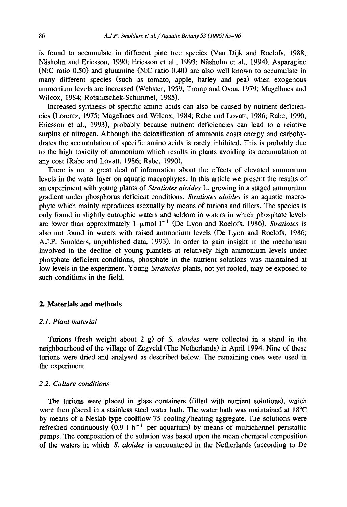is found to accumulate in different pine tree species (Van Dijk and Roelofs, 1988; Näsholm and Ericsson, 1990; Ericsson et al., 1993; Näsholm et al., 1994). Asparagine (N:C ratio 0.50) and glutamine (N:C ratio 0.40) are also well known to accumulate in many different species (such as tomato, apple, barley and pea) when exogenous ammonium levels are increased (Webster, 1959; Tromp and Ovaa, 1979; Magelhaes and Wilcox, 1984; Rotsnitschek-Schimmel, 1985).

Increased synthesis of specific amino acids can also be caused by nutrient deficiencies (Lorentz, 1975; Magelhaes and Wilcox, 1984; Rabe and Lovatt, 1986; Rabe, 1990; Ericsson et al., 1993), probably because nutrient deficiencies can lead to a relative surplus of nitrogen. Although the detoxification of ammonia costs energy and carbohydrates the accumulation of specific amino acids is rarely inhibited. This is probably due to the high toxicity of ammonium which results in plants avoiding its accumulation at any cost (Rabe and Lovatt, 1986; Rabe, 1990).

There is not a great deal of information about the effects of elevated ammonium levels in the water layer on aquatic macrophytes. In this article we present the results of an experiment with young plants of *Stratiotes aloides* L. growing in a staged ammonium gradient under phosphorus deficient conditions. *Stratiotes aloides* is an aquatic macrophyte which mainly reproduces asexually by means of turions and tillers. The species is only found in slightly eutrophic waters and seldom in waters in which phosphate levels are lower than approximately 1  $\mu$ mol 1<sup>-1</sup> (De Lyon and Roelofs, 1986). *Stratiotes* is also not found in waters with raised ammonium levels (De Lyon and Roelofs, 1986; A.J.P. Smolders, unpublished data, 1993). In order to gain insight in the mechanism involved in the decline of young plantlets at relatively high ammonium levels under phosphate deficient conditions, phosphate in the nutrient solutions was maintained at low levels in the experiment. Young *Stratiotes* plants, not yet rooted, may be exposed to such conditions in the field.

#### **2. Materials and methods**

#### *2.1. Plant material*

Turions (fresh weight about 2 g) of *S. aloides* were collected in a stand in the neighbourhood of the village of Zegveld (The Netherlands) in April 1994. Nine of these turions were dried and analysed as described below. The remaining ones were used in the experiment.

## *2.2. Culture conditions*

The turions were placed in glass containers (filled with nutrient solutions), which were then placed in a stainless steel water bath. The water bath was maintained at 18°C by means of a Neslab type coolflow 75 cooling/heating aggregate. The solutions were refreshed continuously  $(0.9 \ 1 \ h^{-1})$  per aquarium) by means of multichannel peristaltic pumps. The composition of the solution was based upon the mean chemical composition of the waters in which *S. aloides* is encountered in the Netherlands (according to De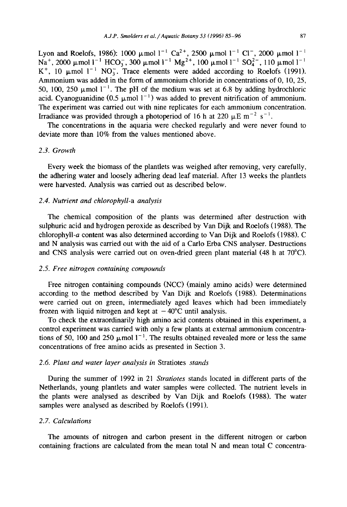Lyon and Roelofs, 1986): 1000  $\mu$  mol 1<sup>-1</sup> Ca<sup>2+</sup>, 2500  $\mu$  mol 1<sup>-1</sup> Cl<sup>-</sup>, 2000  $\mu$  mol 1<sup>-1</sup>  $\text{Na}^+$ , 2000  $\mu$ mol  $\text{ln}^{-1}$  HCO<sub>3</sub>, 300  $\mu$ mol  $\text{ln}^{-1}$  Mg<sup>2+</sup>, 100  $\mu$ mol  $\text{ln}^{-1}$  SO<sub>4</sub><sup>-</sup>, 110  $\mu$ mol  $\text{ln}^{-1}$  $K^+$ , 10  $\mu$ mol 1<sup>-1</sup> NO<sub>3</sub>. Trace elements were added according to Roelofs (1991). Ammonium was added in the form of ammonium chloride in concentrations of 0, 10, 25, 50, 100, 250  $\mu$  mol 1<sup>-1</sup>. The pH of the medium was set at 6.8 by adding hydrochloric acid. Cyanoguanidine  $(0.5 \text{ }\mu\text{mol } \text{ l}^{-1})$  was added to prevent nitrification of ammonium. The experiment was carried out with nine replicates for each ammonium concentration. Irradiance was provided through a photoperiod of 16 h at 220  $\mu$ E m<sup>-2</sup> s<sup>-1</sup>.

The concentrations in the aquaria were checked regularly and were never found to deviate more than 10% from the values mentioned above.

#### *2.3. Growth*

Every week the biomass of the plantlets was weighed after removing, very carefully, the adhering water and loosely adhering dead leaf material. After 13 weeks the plantlets were harvested. Analysis was carried out as described below.

# *2.4. Nutrient and chlorophyll-a analysis*

The chemical composition of the plants was determined after destruction with sulphuric acid and hydrogen peroxide as described by Van Dijk and Roelofs (1988). The chlorophyli-a content was also determined according to Van Dijk and Roelofs (1988). C and N analysis was carried out with the aid of a Carlo Erba CNS analyser. Destructions and CNS analysis were carried out on oven-dried green plant material (48 h at 70°C).

#### *2.5. Free nitrogen containing compounds*

Free nitrogen containing compounds (NCC) (mainly amino acids) were determined according to the method described by Van Dijk and Roelofs (1988). Determinations were carried out on green, intermediately aged leaves which had been immediately frozen with liquid nitrogen and kept at  $-40^{\circ}$ C until analysis.

To check the extraordinarily high amino acid contents obtained in this experiment, a control experiment was carried with only a few plants at external ammonium concentrations of 50, 100 and 250  $\mu$ mol 1<sup>-1</sup>. The results obtained revealed more or less the same concentrations of free amino acids as presented in Section 3.

## *2.6. Plant and water layer analysis in* Stratiotes *stands*

During the summer of 1992 in 21 *Stratiotes* stands located in different parts of the Netherlands, young plantlets and water samples were collected. The nutrient levels in the plants were analysed as described by Van Dijk and Roelofs (1988). The water samples were analysed as described by Roelofs (1991).

## *2.7. Calculations*

The amounts of nitrogen and carbon present in the different nitrogen or carbon containing fractions are calculated from the mean total N and mean total C concentra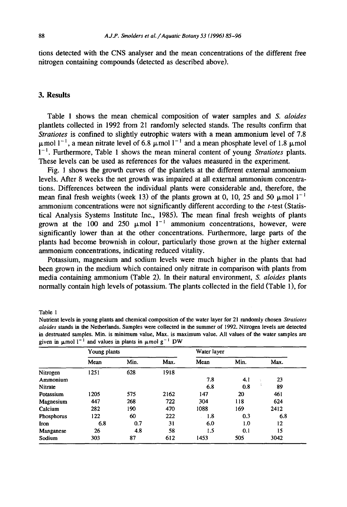tions detected with the CNS analyser and the mean concentrations of the different free nitrogen containing compounds (detected as described above).

# **3. Results**

Table 1 shows the mean chemical composition of water samples *and S. aloides*  plantlets collected in 1992 from 21 randomly selected stands. The results confirm that *Stratiotes* is confined to slightly eutrophic waters with a mean ammonium level of 7.8  $\mu$ mol 1<sup>-1</sup>, a mean nitrate level of 6.8  $\mu$ mol 1<sup>-1</sup> and a mean phosphate level of 1.8  $\mu$ mol 1-1. Furthermore, Table 1 shows the mean mineral content of young *Stratiotes* plants. These levels can be used as references for the values measured in the experiment.

Fig. 1 shows the growth curves of the plantlets at the different external ammonium levels. After 8 weeks the net growth was impaired at all external ammonium concentrations. Differences between the individual plants were considerable and, therefore, the mean final fresh weights (week 13) of the plants grown at 0, 10, 25 and 50  $\mu$ mol 1<sup>-1</sup> ammonium concentrations were not significantly different according to the  $t$ -test (Statistical Analysis Systems Institute Inc., 1985). The mean final fresh weights of plants grown at the 100 and 250  $\mu$ mol 1<sup>-1</sup> ammonium concentrations, however, were significantly lower than at the other concentrations. Furthermore, large parts of the plants had become brownish in colour, particularly those grown at the higher external ammonium concentrations, indicating reduced vitality.

Potassium, magnesium and sodium levels were much higher in the plants that had been grown in the medium which contained only nitrate in comparison with plants from media containing ammonium (Table 2). In their natural environment, *S. aloides* plants normally contain high levels of potassium. The plants collected in the field (Table 1), for

Table 1

| Nutrient levels in young plants and chemical composition of the water layer for 21 randomly chosen Stratiotes        |
|----------------------------------------------------------------------------------------------------------------------|
| <i>aloides</i> stands in the Netherlands. Samples were collected in the summer of 1992. Nitrogen levels are detected |
| in destruated samples. Min. is minimum value. Max. is maximum value. All values of the water samples are             |
| given in $\mu$ mol l <sup>-1</sup> and values in plants in $\mu$ mol g <sup>-1</sup> DW                              |

|            | Young plants |      |      | Water layer |      |         |  |
|------------|--------------|------|------|-------------|------|---------|--|
|            | Mean         | Min. | Max. | Mean        | Min. | Max.    |  |
| Nitrogen   | 1251         | 628  | 1918 |             |      |         |  |
| Ammonium   |              |      |      | 7.8         | 4.1  | 23      |  |
| Nitrate    |              |      |      | 6.8         | 0.8  | 89      |  |
| Potassium  | 1205         | 575  | 2162 | 147         | 20   | 461     |  |
| Magnesium  | 447          | 268  | 722  | 304         | 118  | 624     |  |
| Calcium    | 282          | 190  | 470  | 1088        | 169  | 2412    |  |
| Phosphorus | 122          | 60   | 222  | 1.8         | 0.3  | 6.8     |  |
| Iron       | 6.8          | 0.7  | 31   | 6.0         | 1.0  | $12 \,$ |  |
| Manganese  | 26           | 4.8  | 58   | 1.5         | 0.1  | 15      |  |
| Sodium     | 303          | 87   | 612  | 1453        | 505  | 3042    |  |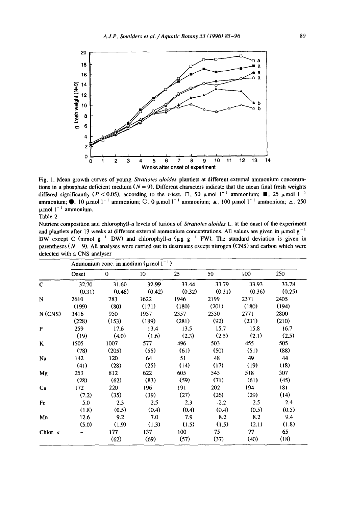

Fig. 1. Mean growth curves of young *Stratiotes aloides* plantlets at different external ammonium concentrations in a phosphate deficient medium  $(N = 9)$ . Different characters indicate that the mean final fresh weights differed significantly (P < 0.05), according to the t-test.  $\Box$ , 50  $\mu$  mol 1<sup>-1</sup> ammonium; **I**, 25  $\mu$  mol 1<sup>-1</sup> ammonium;  $\bullet$ , 10  $\mu$ mol 1<sup>-1</sup> ammonium; O, 0  $\mu$ mol 1<sup>-1</sup> ammonium; A, 100  $\mu$ mol 1<sup>-1</sup> ammonium;  $\Delta$ , 250  $\mu$ mol  $1^{-1}$  ammonium.

Table 2

Nutrient composition and chlorophyll-a levels of turions of *Stratiotes aloides* L. at the onset of the experiment and plantlets after 13 weeks at different external ammonium concentrations. All values are given in  $\mu$  mol g<sup>-1</sup> DW except C (mmol  $g^{-1}$  DW) and chlorophyll-a ( $\mu g g^{-1}$  FW). The standard deviation is given in parentheses ( $N = 9$ ). All analyses were carried out in destruates except nitrogen (CNS) and carbon which were detected with a CNS analyser

|              | Ammonium conc. in medium $(\mu \text{mol})^{-1}$ ) |              |        |        |        |        |        |  |
|--------------|----------------------------------------------------|--------------|--------|--------|--------|--------|--------|--|
|              | Onset                                              | $\mathbf{0}$ | 10     | 25     | 50     | 100    | 250    |  |
| $\mathbf C$  | 32.70                                              | 31.60        | 32.99  | 33.44  | 33.79  | 33.93  | 33.78  |  |
|              | (0.31)                                             | (0.46)       | (0.42) | (0.32) | (0.31) | (0.36) | (0.25) |  |
| N            | 2610                                               | 783          | 1622   | 1946   | 2199   | 2371   | 2405   |  |
|              | (199)                                              | (80)         | (171)  | (180)  | (201)  | (180)  | (194)  |  |
| N(CNS)       | 3416                                               | 950          | 1957   | 2357   | 2550   | 2771   | 2800   |  |
|              | (228)                                              | (153)        | (189)  | (281)  | (92)   | (231)  | (210)  |  |
| $\mathbf{P}$ | 259                                                | 17.6         | 13.4   | 13.5   | 15.7   | 15.8   | 16.7   |  |
|              | (19)                                               | (4.0)        | (1.6)  | (2.3)  | (2.5)  | (2.1)  | (2.5)  |  |
| K            | 1505                                               | 1007         | 577    | 496    | 503    | 455    | 505    |  |
|              | (78)                                               | (205)        | (55)   | (61)   | (50)   | (51)   | (88)   |  |
| Na           | 142                                                | 120          | 64     | 51     | 48     | 49     | 44     |  |
|              | (41)                                               | (28)         | (25)   | (14)   | (17)   | (19)   | (18)   |  |
| Mg           | 253                                                | 812          | 622    | 605    | 545    | 518    | 507    |  |
|              | (28)                                               | (62)         | (83)   | (59)   | (71)   | (61)   | (45)   |  |
| Ca           | 172                                                | 220          | 196    | 191    | 202    | 194    | 181    |  |
|              | (7.2)                                              | (35)         | (39)   | (27)   | (26)   | (29)   | (14)   |  |
| Fe           | 5.0                                                | 2.3          | 2.5    | 2.3    | .2.2   | 2.5    | 2.4    |  |
|              | (1.8)                                              | (0.5)        | (0.4)  | (0.4)  | (0.4)  | (0.5)  | (0.5)  |  |
| Mn           | 12.6                                               | 9.2          | 7.0    | 7.9    | 8.2    | 8.2    | 9.4    |  |
|              | (5.0)                                              | (1.9)        | (1.3)  | (1.5)  | (1.5)  | (2.1)  | (1.8)  |  |
| Chlor. a     |                                                    | 177          | 137    | 100    | 75     | 77     | 65     |  |
|              |                                                    | (62)         | (69)   | (57)   | (37)   | (40)   | (18)   |  |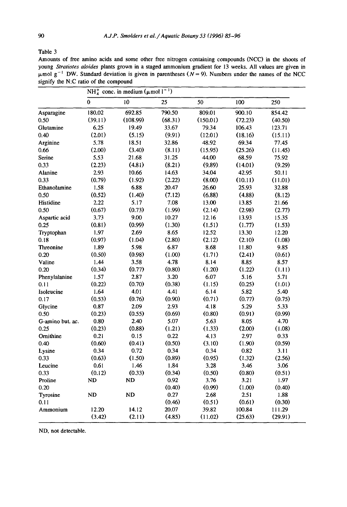Table 3

Amounts of free amino acids and some other free nitrogen containing compounds (NCC) in the shoots of young *Stratiotes aloides* plants grown in a staged ammonium gradient for 13 weeks. All values are given in  $\mu$ mol g<sup>-1</sup> DW. Standard deviation is given in parentheses ( $N = 9$ ). Numbers under the names of the NCC signify the N:C ratio of the compound

|                  | NH <sup>+</sup> <sub>4</sub> conc. in medium ( $\mu$ mol l <sup>-1</sup> ) |          |         |          |         |         |  |
|------------------|----------------------------------------------------------------------------|----------|---------|----------|---------|---------|--|
|                  | $\mathbf{0}$                                                               | 10       | 25      | 50       | 100     | 250     |  |
| Asparagine       | 180.02                                                                     | 692.85   | 790.50  | 809.01   | 900.10  | 854.42  |  |
| 0.50             | (39.11)                                                                    | (108.99) | (68.31) | (150.01) | (72.23) | (40.50) |  |
| Glutamine        | 6.25                                                                       | 19.49    | 33.67   | 79.34    | 106.43  | 123.71  |  |
| 0.40             | (2.01)                                                                     | (5.15)   | (9.91)  | (12.01)  | (18.16) | (15.11) |  |
| Arginine         | 5.78                                                                       | 18.51    | 32.86   | 48.92    | 69.34   | 77.45   |  |
| 0.66             | (2.00)                                                                     | (3.40)   | (8.11)  | (15.95)  | (25.26) | (11.45) |  |
| Serine           | 5.53                                                                       | 21.68    | 31.25   | 44.00    | 68.59   | 75.92   |  |
| 0.33             | (2.23)                                                                     | (4.81)   | (8.21)  | (9.89)   | (14.01) | (9.29)  |  |
| Alanine          | 2.93                                                                       | 10.66    | 14.63   | 34.04    | 42.95   | 50.11   |  |
| 0.33             | (0.79)                                                                     | (1.92)   | (2.22)  | (8.00)   | (10.11) | (11.01) |  |
| Ethanolamine     | 1.58                                                                       | 6.88     | 20.47   | 26.60    | 25.93   | 32.88   |  |
| 0.50             | (0.52)                                                                     | (1.40)   | (7.12)  | (6.88)   | (4.88)  | (8.12)  |  |
| Histidine        | 2.22                                                                       | 5.17     | 7.08    | 13.00    | 13.85   | 21.66   |  |
| 0.50             | (0.67)                                                                     | (0.73)   | (1.99)  | (2.14)   | (2.98)  | (2.77)  |  |
| Aspartic acid    | 3.73                                                                       | 9.00     | 10.27   | 12.16    | 13.93   | 15.35   |  |
| 0.25             | (0.81)                                                                     | (0.99)   | (1.30)  | (1.51)   | (1.77)  | (1.53)  |  |
| Tryptophan       | 1.97                                                                       | 2.69     | 8.65    | 12.52    | 13.30   | 12.20   |  |
| 0.18             | (0.97)                                                                     | (1.04)   | (2.80)  | (2.12)   | (2.10)  | (1.08)  |  |
| <b>Threonine</b> | 1.89                                                                       | 5.98     | 6.87    | 8.68     | 11.80   | 9.85    |  |
| 0.20             | (0.50)                                                                     | (0.98)   | (1.00)  | (1.71)   | (2.41)  | (0.61)  |  |
| Valine           | 1.44                                                                       | 3.58     | 4.78    | 8.14     | 8.85    | 8.57    |  |
| 0.20             | (0.34)                                                                     | (0.77)   | (0.80)  | (1.20)   | (1.22)  | (1.11)  |  |
| Phenylalanine    | 1.57                                                                       | 2.87     | 3.20    | 6.07     | 5.16    | 5.71    |  |
| 0.11             | (0.22)                                                                     | (0.70)   | (0.38)  | (1.15)   | (0.25)  | (1.01)  |  |
| Isoleucine       | 1.64                                                                       | 4.01     | 4.41    | 6.14     | 5.82    | 5.40    |  |
| 0.17             | (0.53)                                                                     | (0.76)   | (0.90)  | (0.71)   | (0.77)  | (0.75)  |  |
| Glycine          | 0.87                                                                       | 2.09     | 2.93    | 4.18     | 5.29    | 5.33    |  |
| 0.50             | (0.23)                                                                     | (0.55)   | (0.69)  | (0.80)   | (0.91)  | (0.99)  |  |
| G-amino but. ac. | 0.80                                                                       | 2.40     | 5.07    | 5.63     | 8.05    | 4.70    |  |
| 0.25             | (0.23)                                                                     | (0.88)   | (1.21)  | (1.33)   | (2.00)  | (1.08)  |  |
| Ornithine        | 0.21                                                                       | 0.15     | 0.22    | 4.13     | 2.97    | 0.33    |  |
| 0.40             | (0.60)                                                                     | (0.41)   | (0.50)  | (3.10)   | (1.90)  | (0.59)  |  |
| Lysine           | 0.34                                                                       | 0.72     | 0.34    | 0.34     | 0.82    | 3.11    |  |
| 0.33             | (0.63)                                                                     | (1.50)   | (0.89)  | (0.95)   | (1.32)  | (2.56)  |  |
| Leucine          | 0.61                                                                       | 1.46     | 1.84    | 3.28     | 3.46    | 3.06    |  |
| 0.33             | (0.12)                                                                     | (0.33)   | (0.34)  | (0.50)   | (0.80)  | (0.51)  |  |
| Proline          | ND                                                                         | ND       | 0.92    | 3.76     | 3.21    | 1.97    |  |
| 0.20             |                                                                            |          | (0.40)  | (0.99)   | (1.00)  | (0.40)  |  |
| Tyrosine         | ND                                                                         | ND       | 0.27    | 2.68     | 2.51    | 1.88    |  |
| 0.11             |                                                                            |          | (0.46)  | (0.51)   | (0.61)  | (0.30)  |  |
| Ammonium         | 12.20                                                                      | 14.12    | 20.07   | 39.82    | 100.84  | 111.29  |  |
|                  | (3.42)                                                                     | (2.11)   | (4.85)  | (11.02)  | (25.63) | (29.91) |  |

ND, not detectable.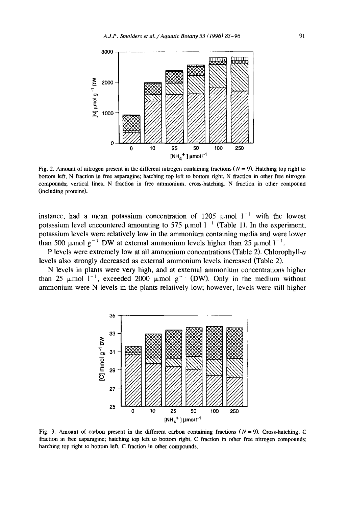

Fig. 2. Amount of nitrogen present in the different nitrogen containing fractions ( $N = 9$ ). Hatching top right to bottom left, N fraction in free asparagine; hatching top left to bottom fight, N fraction in other free nitrogen compounds; vertical lines, N fraction in free ammonium; cross-hatching, N fraction in other compound (including proteins).

instance, had a mean potassium concentration of 1205  $\mu$  mol 1<sup>-1</sup> with the lowest potassium level encountered amounting to 575  $\mu$ mol 1<sup>-1</sup> (Table 1). In the experiment, potassium levels were relatively low in the ammonium containing media and were lower than 500  $\mu$ mol g<sup>-1</sup> DW at external ammonium levels higher than 25  $\mu$ mol 1<sup>-1</sup>.

P levels were extremely low at all ammonium concentrations (Table 2). Chlorophyll-a levels also strongly decreased as external ammonium levels increased (Table 2).

N levels in plants were very high, and at external ammonium concentrations higher than 25  $\mu$ mol 1<sup>-1</sup>, exceeded 2000  $\mu$ mol g<sup>-1</sup> (DW). Only in the medium without ammonium were N levels in the plants relatively low; however, levels were still higher



Fig. 3. Amount of carbon present in the different carbon containing fractions  $(N = 9)$ . Cross-hatching, C fraction in free asparagine; hatching top left to bottom right, C fraction in other free nitrogen compounds; harching top fight to bottom left, C fraction in other compounds.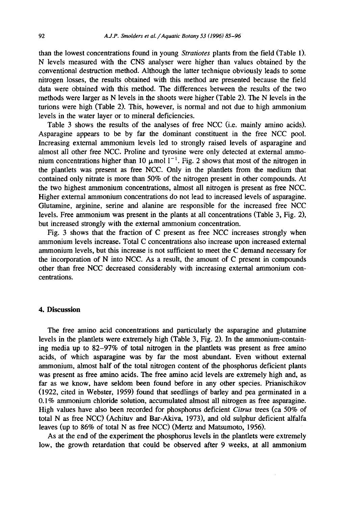than the lowest concentrations found in young *Stratiotes* plants from the field (Table 1). N levels measured with the CNS analyser were higher than values obtained by the conventional destruction method. Although the latter technique obviously leads to some nitrogen losses, the results obtained with this method are presented because the field data were obtained with this method. The differences between the results of the two methods were larger as N levels in the shoots were higher (Table 2). The N levels in the turions were high (Table 2). This, however, is normal and not due to high ammonium levels in the water layer or to mineral deficiencies.

Table 3 shows the results of the analyses of free NCC (i.e. mainly amino acids). Asparagine appears to be by far the dominant constituent in the free NCC pool. Increasing external ammonium levels led to strongly raised levels of asparagine and almost all other free NCC. Proline and tyrosine were only detected at external ammonium concentrations higher than 10  $\mu$ mol 1<sup>-1</sup>. Fig. 2 shows that most of the nitrogen in the plantlets was present as free NCC. Only in the plantlets from the medium that contained only nitrate is more than 50% of the nitrogen present in other compounds. At the two highest ammonium concentrations, almost all nitrogen is present as free NCC. Higher external ammonium concentrations do not lead to increased levels of asparagine. Glutamine, arginine, serine and alanine are responsible for the increased free NCC levels. Free ammonium was present in the plants at all concentrations (Table 3, Fig. 2), but increased strongly with the external ammonium concentration.

Fig. 3 shows that the fraction of C present as free NCC increases strongly when ammonium levels increase. Total C concentrations also increase upon increased external ammonium levels, but this increase is not sufficient to meet the C demand necessary for the incorporation of N into NCC. As a result, the amount of C present in compounds other than free NCC decreased considerably with increasing external ammonium concentrations.

# **4. Discussion**

The free amino acid concentrations and particularly the asparagine and glutamine levels in the plantlets were extremely high (Table 3, Fig. 2). In the ammonium-containing media up to 82-97% of total nitrogen in the plantlets was present as free amino acids, of which asparagine was by far the most abundant. Even without external ammonium, almost half of the total nitrogen content of the phosphorus deficient plants was present as free amino acids. The free amino acid levels are extremely high and, as far as we know, have seldom been found before in any other species. Prianischikov (1922, cited in Webster, 1959) found that seedlings of barley and pea germinated in a 0.1% ammonium chloride solution, accumulated almost all nitrogen as free asparagine. High values have also been recorded for phosphorus deficient *Citrus* trees (ca 50% of total N as free NCC) (Achituv and Bar-Akiva, 1973), and old sulphur deficient alfalfa leaves (up to 86% of total N as free NCC) (Mertz and Matsumoto, 1956).

As at the end of the experiment the phosphorus levels in the plantlets were extremely low, the growth retardation that could be observed after 9 weeks, at all ammonium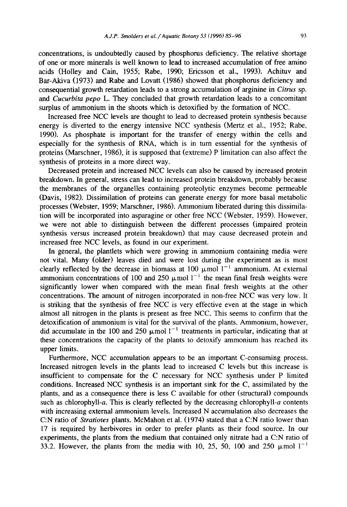concentrations, is undoubtedly caused by phosphorus deficiency. The relative shortage of one or more minerals is well known to lead to increased accumulation of free amino acids (Holley and Cain, 1955; Rabe, 1990; Ericsson et al., 1993). Achituv and Bar-Akiva (1973) and Rabe and Lovatt (1986) showed that phosphorus deficiency and consequential growth retardation leads to a strong accumulation of arginine in *Citrus* sp. *and Cucurbita pepo* L. They concluded that growth retardation leads to a concomitant surplus of ammonium in the shoots which is detoxified by the formation of NCC.

Increased free NCC levels are thought to lead to decreased protein synthesis because energy is diverted to the energy intensive NCC synthesis (Mertz et al., 1952; Rabe, 1990). As phosphate is important for the transfer of energy within the cells and especially for the synthesis of RNA, which is in turn essential for the synthesis of proteins (Marschner, 1986), it is supposed that (extreme) P limitation can also affect the synthesis of proteins in a more direct way.

Decreased protein and increased NCC levels can also be caused by increased protein breakdown. In general, stress can lead to increased protein breakdown, probably because the membranes of the organelles containing proteolytic enzymes become permeable (Davis, 1982). Dissimilation of proteins can generate energy for more basal metabolic processes (Webster, 1959; Marschner, 1986). Ammonium liberated during this dissimilation will be incorporated into asparagine or other free NCC (Webster, 1959). However, we were not able to distinguish between the different processes (impaired protein synthesis versus increased protein breakdown) that may cause decreased protein and increased free NCC levels, as found in our experiment.

In general, the plantlets which were growing in ammonium containing media were not vital. Many (older) leaves died and were lost during the experiment as is most clearly reflected by the decrease in biomass at 100  $\mu$ mol 1<sup>-1</sup> ammonium. At external ammonium concentrations of 100 and 250  $\mu$  mol 1<sup>-1</sup> the mean final fresh weights were significantly lower when compared with the mean final fresh weights at the other concentrations. The amount of nitrogen incorporated in non-free NCC was very low. It is striking that the synthesis of free NCC is very effective even at the stage in which almost all nitrogen in the plants is present as free NCC. This seems to confirm that the detoxification of ammonium is vital for the survival of the plants. Ammonium, however, did accumulate in the 100 and 250  $\mu$ mol 1<sup>-1</sup> treatments in particular, indicating that at these concentrations the capacity of the plants to detoxify ammonium has reached its upper limits.

Furthermore, NCC accumulation appears to be an important C-consuming process. Increased nitrogen levels in the plants lead to increased C levels but this increase is insufficient to compensate for the C necessary for NCC synthesis under P limited conditions. Increased NCC synthesis is an important sink for the C, assimilated by the plants, and as a consequence there is less C available for other (structural) compounds such as chlorophyll-a. This is clearly reflected by the decreasing chlorophyll-a contents with increasing external ammonium levels. Increased N accumulation also decreases the C:N ratio of *Stratiotes* plants. McMahon et al. (1974) stated that a C:N ratio lower than 17 is required by herbivores in order to prefer plants as their food source. In our experiments, the plants from the medium that contained only nitrate had a C:N ratio of 33.2. However, the plants from the media with 10, 25, 50, 100 and 250  $\mu$ mol 1<sup>-1</sup>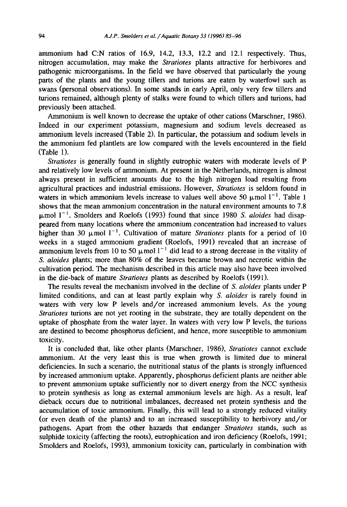ammonium had C:N ratios of 16.9, 14.2, 13.3, 12.2 and 12.1 respectively. Thus, nitrogen accumulation, may make the *Stratiotes* plants attractive for herbivores and pathogenic microorganisms. In the field we have observed that particularly the young parts of the plants and the young tillers and turions are eaten by waterfowl such as swans (personal observations). In some stands in early April, only very few tillers and turions remained, although plenty of stalks were found to which tillers and turions, had previously been attached.

Ammonium is well known to decrease the uptake of other cations (Marschner, 1986). Indeed in our experiment potassium, magnesium and sodium levels decreased as ammonium levels increased (Table 2). In particular, the potassium and sodium levels in the ammonium fed plantlets are low compared with the levels encountered in the field (Table 1).

*Stratiotes* is generally found in slightly eutrophic waters with moderate levels of P and relatively low levels of ammonium. At present in the Netherlands, nitrogen is almost always present in sufficient amounts due to the high nitrogen load resulting from agricultural practices and industrial emissions. However, *Stratiotes* is seldom found in waters in which ammonium levels increase to values well above 50  $\mu$ mol 1<sup>-1</sup>. Table 1 shows that the mean ammonium concentration in the natural environment amounts to 7.8  $\mu$ mol  $1^{-1}$ . Smolders and Roelofs (1993) found that since 1980 *S. aloides* had disappeared from many locations where the ammonium concentration had increased to values higher than 30  $\mu$ mol 1<sup>-1</sup>. Cultivation of mature *Stratiotes* plants for a period of 10 weeks in a staged ammonium gradient (Roelofs, 1991) revealed that an increase of ammonium levels from 10 to 50  $\mu$ mol l<sup>-1</sup> did lead to a strong decrease in the vitality of *S. aloides* plants; more than 80% of the leaves became brown and necrotic within the cultivation period. The mechanism described in this article may also have been involved in the die-back of mature *Stratiotes* plants as described by Roelofs (1991).

The results reveal the mechanism involved in the decline of *S. aloides* plants under P limited conditions, and can at least partly explain why *S. aloides* is rarely found in waters with very low P levels and/or increased ammonium levels. As the young *Stratiotes* turions are not yet rooting in the substrate, they are totally dependent on the uptake of phosphate from the water layer. In waters with very low P levels, the turions are destined to become phosphorus deficient, and hence, more susceptible to ammonium toxicity.

It is concluded that, like other plants (Marschner, 1986), *Stratiotes* cannot exclude ammonium. At the very least this is true when growth is limited due to mineral deficiencies. In such a scenario, the nutritional status of the plants is strongly influenced by increased ammonium uptake. Apparently, phosphorus deficient plants are neither able to prevent ammonium uptake sufficiently nor to divert energy from the NCC synthesis to protein synthesis as long as external ammonium levels are high. As a result, leaf dieback occurs due to nutritional imbalances, decreased net protein synthesis and the accumulation of toxic ammonium. Finally, this will lead to a strongly reduced vitality (or even death of the plants) and to an increased susceptibility to herbivory and/or pathogens. Apart from the other hazards that endanger *Stratiotes* stands, such as sulphide toxicity (affecting the roots), eutrophication and iron deficiency (Roelofs, 1991; Smolders and Roelofs, 1993), ammonium toxicity can, particularly in combination with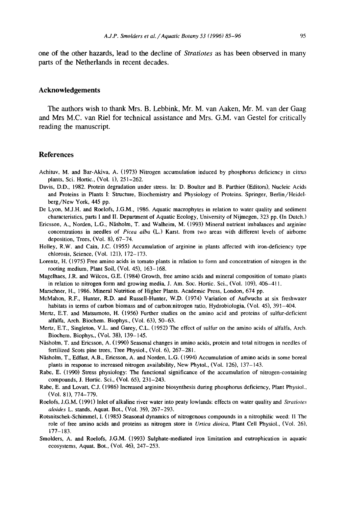one of the other hazards, lead to the decline of *Stratiotes* as has been observed in many parts of the Netherlands in recent decades.

## **Acknowledgements**

The authors wish to thank Mrs. B. Lebbink, Mr. M. van Aaken, Mr. M. van der Gaag and Mrs M.C. van Riel for technical assistance and Mrs. G.M. van Gestel for critically reading the manuscript.

## **References**

- Achituv, M. and Bar-Akiva, A. (1973) Nitrogen accumulation induced by phosphorus deficiency in citrus plants, Sci. Hortic., (Vol. 1), 251-262.
- Davis, D.D., 1982. Protein degradation under stress. In: D. Boulter and B. Parthier (Editors), Nucleic Acids and Proteins in Plants 1: Structure, Biochemistry and Physiology of Proteins. Springer, Berlin/Heidelberg/New York, 445 pp.
- De Lyon, M.J.H. and Roelofs, J.G.M., 1986. Aquatic macrophytes in relation to water quality and sediment characteristics, parts I and II. Department of Aquatic Ecology, University of Nijmegen, 323 pp. (In Dutch.)
- Ericsson, A., Norden, L.G., Näsholm, T. and Walheim, M. (1993) Mineral nutrient imbalances and arginine concentrations in needles of *Picea alba* (L.) Karst. from two areas with different levels of airborne deposition, Trees, (Vol. 8), 67-74.
- Holley, R.W. and Cain, J.C. (1955) Accumulation of arginine in plants affected with iron-deficiency type chlorosis, Science, (Vol. 121), 172-173.
- Lorentz, H. (1975) Free amino acids in tomato plants in relation to form and concentration of nitrogen in the rooting medium, Plant Soil, (Vol. 45), 163-168.
- Magelhaes, J.R. and Wilcox, G.E. (1984) Growth, free amino acids and mineral composition of tomato plants in relation to nitrogen form and growing media, J. Am. Soc. Hortic. Sci., (Vol. 109), 406-411.
- Marschner, H., 1986. Mineral Nutrition of Higher Plants. Academic Press, London, 674 pp.
- McMahon, R.F., Hunter, R.D. and Russell-Hunter, W.D. (1974) Variation of Aufwuchs at six freshwater habitats in terms of carbon biomass and of carbon:nitrogen ratio, Hydrobiologia, (Vol. 45), 391-404.
- Mertz, E.T. and Matsumoto, H. (1956) Further studies on the amino acid and proteins of sulfur-deficient alfalfa, Arch. Biochem. Biophys., (Vol. 63), 50-63.
- Mertz, E.T., Singleton, V.L. and Garey, C.L. (1952) The effect of sulfur on the amino acids of alfalfa, Arch. Biochem. Biophys., (Vol. 38), 139-145.
- Näsholm, T. and Ericsson, A. (1990) Seasonal changes in amino acids, protein and total nitrogen in needles of fertilized Scots pine trees, Tree Physiol., (Vol. 6), 267-281.
- Näsholm, T., Edfast, A.B., Ericsson, A. and Norden, L.G. (1994) Accumulation of amino acids in some boreal plants in response to increased nitrogen availability, New Phytol., (Vol. 126), 137-143.
- Rabe, E. (1990) Stress physiology: The functional significance of the accumulation of nitrogen-containing compounds, J. Hortic. Sci., (Vol. 65), 231-243.
- Rabe, E. and Lovatt, C.J. (1986) Increased arginine biosynthesis during phosphorus deficiency, Plant Physiol., (Vol. 81), 774-779.
- Roelofs, J.G.M. (1991) Inlet of alkaline river water into peaty lowlands: effects on water quality and *Stratiotes aloides* L. stands, Aquat. Bot., (Vol. 39), 267-293.
- Rotsnitscbek-Schimmel, I. (1985) Seasonal dynamics of nitrogenous compounds in a nitrophilic weed: II The role of free amino acids and proteins as nitrogen store in *Urtica dioica,* Plant Cell Physiol., (Vol. 26), 177-183.
- Smolders, A. and Roelofs, J.G.M. (1993) Sulphate-mediated iron limitation and eutrophication in aquatic ecosystems, Aquat. Bot., (Vol. 46), 247-253.